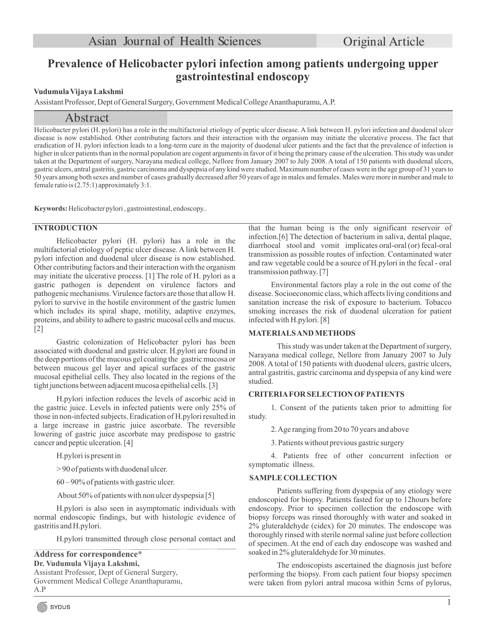# **Prevalence of Helicobacter pylori infection among patients undergoing upper gastrointestinal endoscopy**

## **Vudumula Vijaya Lakshmi**

Assistant Professor, Dept of General Surgery, Government Medical College Ananthapuramu, A.P.

# Abstract

Helicobacter pylori (H. pylori) has a role in the multifactorial etiology of peptic ulcer disease. A link between H. pylori infection and duodenal ulcer disease is now established. Other contributing factors and their interaction with the organism may initiate the ulcerative process. The fact that eradication of H. pylori infection leads to a long-term cure in the majority of duodenal ulcer patients and the fact that the prevalence of infection is higher in ulcer patients than in the normal population are cogent arguments in favor of it being the primary cause of the ulceration. This study was under taken at the Department of surgery, Narayana medical college, Nellore from January 2007 to July 2008. A total of 150 patients with duodenal ulcers, gastric ulcers, antral gastritis, gastric carcinoma and dyspepsia of any kind were studied. Maximum number of cases were in the age group of 31 years to 50 years among both sexes and number of cases gradually decreased after 50 years of age in males and females. Males were more in number and male to female ratio is (2.75:1) approximately 3:1.

**Keywords:** Helicobacter pylori , gastrointestinal, endoscopy..

### **INTRODUCTION**

Helicobacter pylori (H. pylori) has a role in the multifactorial etiology of peptic ulcer disease. A link between H. pylori infection and duodenal ulcer disease is now established. Other contributing factors and their interaction with the organism may initiate the ulcerative process. [1] The role of H. pylori as a gastric pathogen is dependent on virulence factors and pathogenic mechanisms. Virulence factors are those that allow H. pylori to survive in the hostile environment of the gastric lumen which includes its spiral shape, motility, adaptive enzymes, proteins, and ability to adhere to gastric mucosal cells and mucus. [2]

Gastric colonization of Helicobacter pylori has been associated with duodenal and gastric ulcer. H.pylori are found in the deep portions of the mucous gel coating the gastric mucosa or between mucous gel layer and apical surfaces of the gastric mucosal epithelial cells. They also located in the regions of the tight junctions between adjacent mucosa epithelial cells. [3]

H.pylori infection reduces the levels of ascorbic acid in the gastric juice. Levels in infected patients were only 25% of those in non-infected subjects. Eradication of H.pylori resulted in a large increase in gastric juice ascorbate. The reversible lowering of gastric juice ascorbate may predispose to gastric cancer and peptic ulceration. [4]

H.pylori is present in

> 90 of patients with duodenal ulcer.

60 – 90% of patients with gastric ulcer.

About 50% of patients with non ulcer dyspepsia [5]

H.pylori is also seen in asymptomatic individuals with normal endoscopic findings, but with histologic evidence of gastritis and H.pylori.

H.pylori transmitted through close personal contact and

**Address for correspondence \* Dr. Vudumula Vijaya Lakshmi,** Assistant Professor, Dept of General Surgery, Government Medical College Ananthapuramu, A.P

that the human being is the only significant reservoir of infection.[6] The detection of bacterium in saliva, dental plaque, diarrhoeal stool and vomit implicates oral-oral (or) fecal-oral transmission as possible routes of infection. Contaminated water and raw vegetable could be a source of H.pylori in the fecal - oral transmission pathway. [7]

Environmental factors play a role in the out come of the disease. Socioeconomic class, which affects living conditions and sanitation increase the risk of exposure to bacterium. Tobacco smoking increases the risk of duodenal ulceration for patient infected with H.pylori. [8]

#### **MATERIALS AND METHODS**

This study was under taken at the Department of surgery, Narayana medical college, Nellore from January 2007 to July 2008. A total of 150 patients with duodenal ulcers, gastric ulcers, antral gastritis, gastric carcinoma and dyspepsia of any kind were studied.

#### **CRITERIAFOR SELECTION OFPATIENTS**

1. Consent of the patients taken prior to admitting for study.

2. Age ranging from 20 to 70 years and above

3. Patients without previous gastric surgery

4. Patients free of other concurrent infection or symptomatic illness.

#### **SAMPLE COLLECTION**

Patients suffering from dyspepsia of any etiology were endoscopied for biopsy. Patients fasted for up to 12hours before endoscopy. Prior to specimen collection the endoscope with biopsy forceps was rinsed thoroughly with water and soaked in 2% gluteraldehyde (cidex) for 20 minutes. The endoscope was thoroughly rinsed with sterile normal saline just before collection of specimen. At the end of each day endoscope was washed and soaked in 2% gluteraldehyde for 30 minutes.

The endoscopists ascertained the diagnosis just before performing the biopsy. From each patient four biopsy specimen were taken from pylori antral mucosa within 5cms of pylorus,